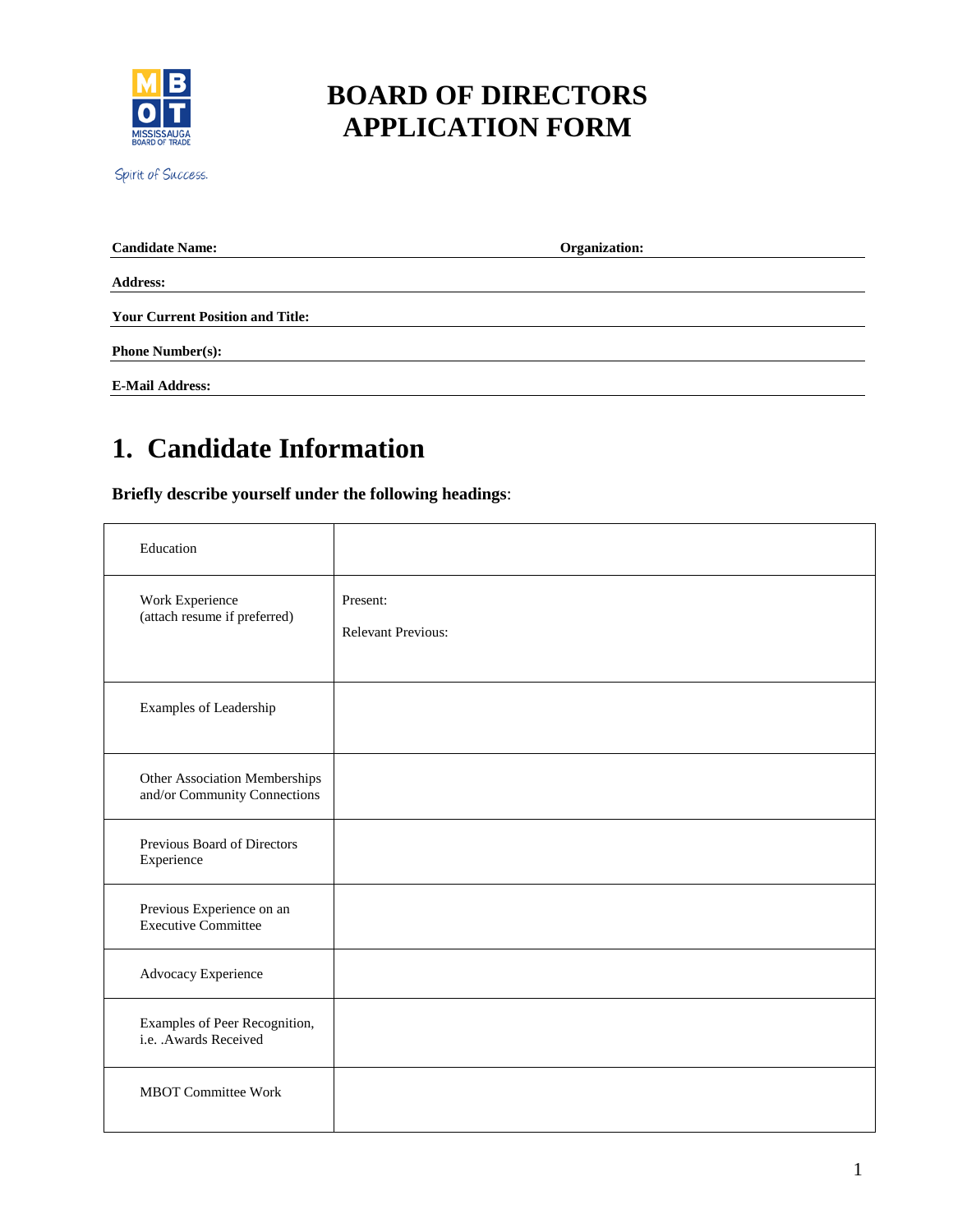

## **BOARD OF DIRECTORS APPLICATION FORM**

Spirit of Success.

| <b>Candidate Name:</b>                  | Organization: |
|-----------------------------------------|---------------|
| <b>Address:</b>                         |               |
| <b>Your Current Position and Title:</b> |               |
| <b>Phone Number(s):</b>                 |               |
| <b>E-Mail Address:</b>                  |               |

## **1. Candidate Information**

**Briefly describe yourself under the following headings**:

| Education                                                     |                                       |
|---------------------------------------------------------------|---------------------------------------|
| Work Experience<br>(attach resume if preferred)               | Present:<br><b>Relevant Previous:</b> |
| Examples of Leadership                                        |                                       |
| Other Association Memberships<br>and/or Community Connections |                                       |
| Previous Board of Directors<br>Experience                     |                                       |
| Previous Experience on an<br><b>Executive Committee</b>       |                                       |
| Advocacy Experience                                           |                                       |
| Examples of Peer Recognition,<br>i.e. .Awards Received        |                                       |
| <b>MBOT Committee Work</b>                                    |                                       |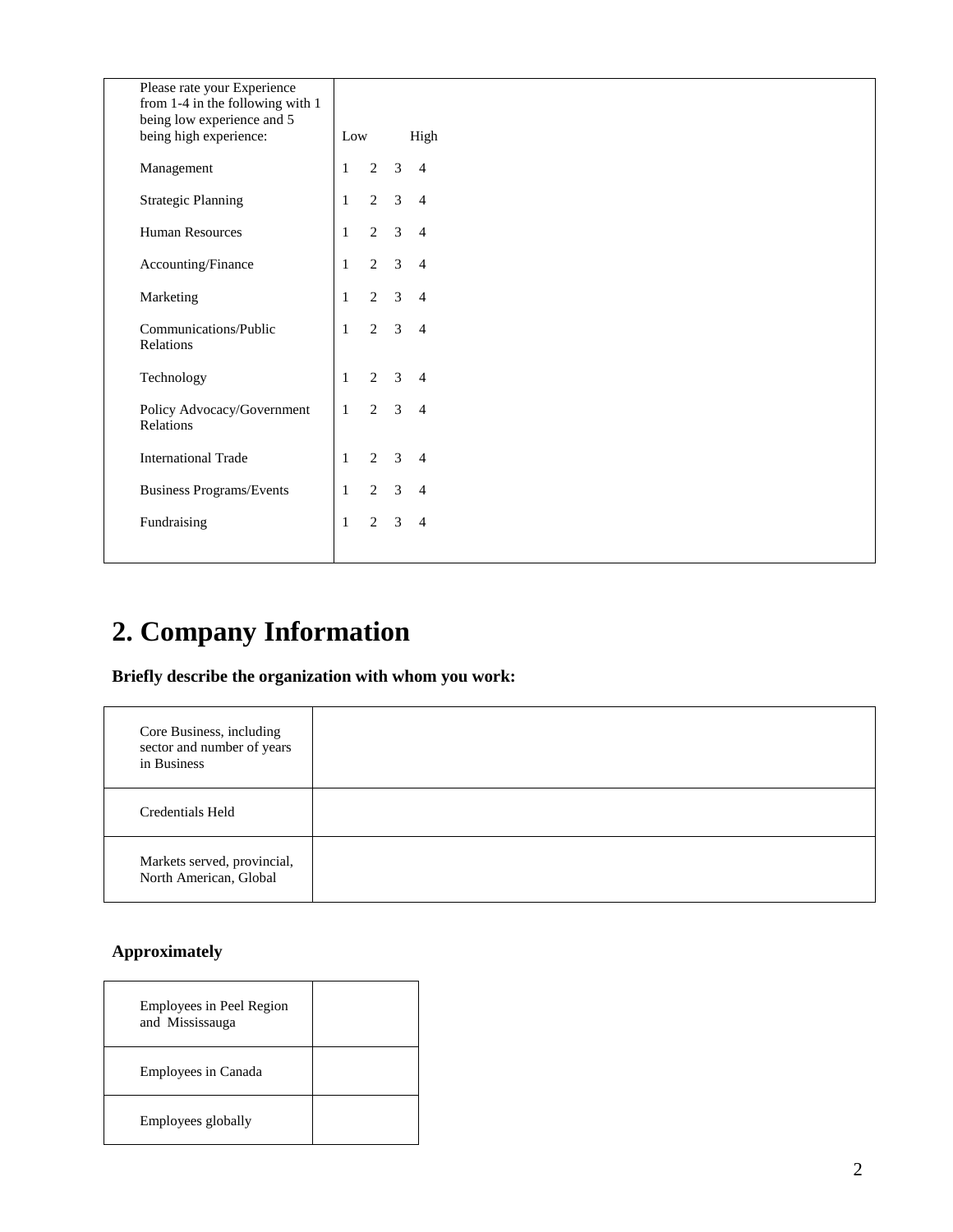| Please rate your Experience<br>from 1-4 in the following with 1<br>being low experience and 5 |              |                |                |                |
|-----------------------------------------------------------------------------------------------|--------------|----------------|----------------|----------------|
| being high experience:                                                                        | Low          |                |                | High           |
| Management                                                                                    | $\mathbf{1}$ | 2              | $\mathfrak{Z}$ | $\overline{4}$ |
| <b>Strategic Planning</b>                                                                     | $\mathbf{1}$ | $\overline{2}$ | $\mathfrak{Z}$ | $\overline{4}$ |
| <b>Human Resources</b>                                                                        | $\mathbf{1}$ | $\overline{2}$ |                | $3 \quad 4$    |
| Accounting/Finance                                                                            | $\mathbf{1}$ | 2              |                | $3 \quad 4$    |
| Marketing                                                                                     | $\mathbf{1}$ | $\overline{2}$ |                | $3 \quad 4$    |
| Communications/Public<br>Relations                                                            | $\mathbf{1}$ | $\overline{2}$ | $\mathfrak{Z}$ | $\overline{4}$ |
| Technology                                                                                    | 1            | $\overline{2}$ |                | $3 \quad 4$    |
| Policy Advocacy/Government<br>Relations                                                       | $\mathbf{1}$ | $\overline{2}$ |                | $3 \quad 4$    |
| <b>International Trade</b>                                                                    | $\mathbf{1}$ | $\overline{2}$ | 3              | $\overline{4}$ |
| Business Programs/Events                                                                      | $\mathbf{1}$ | $\overline{2}$ | $\mathfrak{Z}$ | $\overline{4}$ |
| Fundraising                                                                                   | $\mathbf{1}$ | $\overline{2}$ | $\mathfrak{Z}$ | $\overline{4}$ |
|                                                                                               |              |                |                |                |

# **2. Company Information**

**Briefly describe the organization with whom you work:**

| Core Business, including<br>sector and number of years<br>in Business |  |
|-----------------------------------------------------------------------|--|
| Credentials Held                                                      |  |
| Markets served, provincial,<br>North American, Global                 |  |

#### **Approximately**

| Employees in Peel Region<br>and Mississauga |  |
|---------------------------------------------|--|
| Employees in Canada                         |  |
| Employees globally                          |  |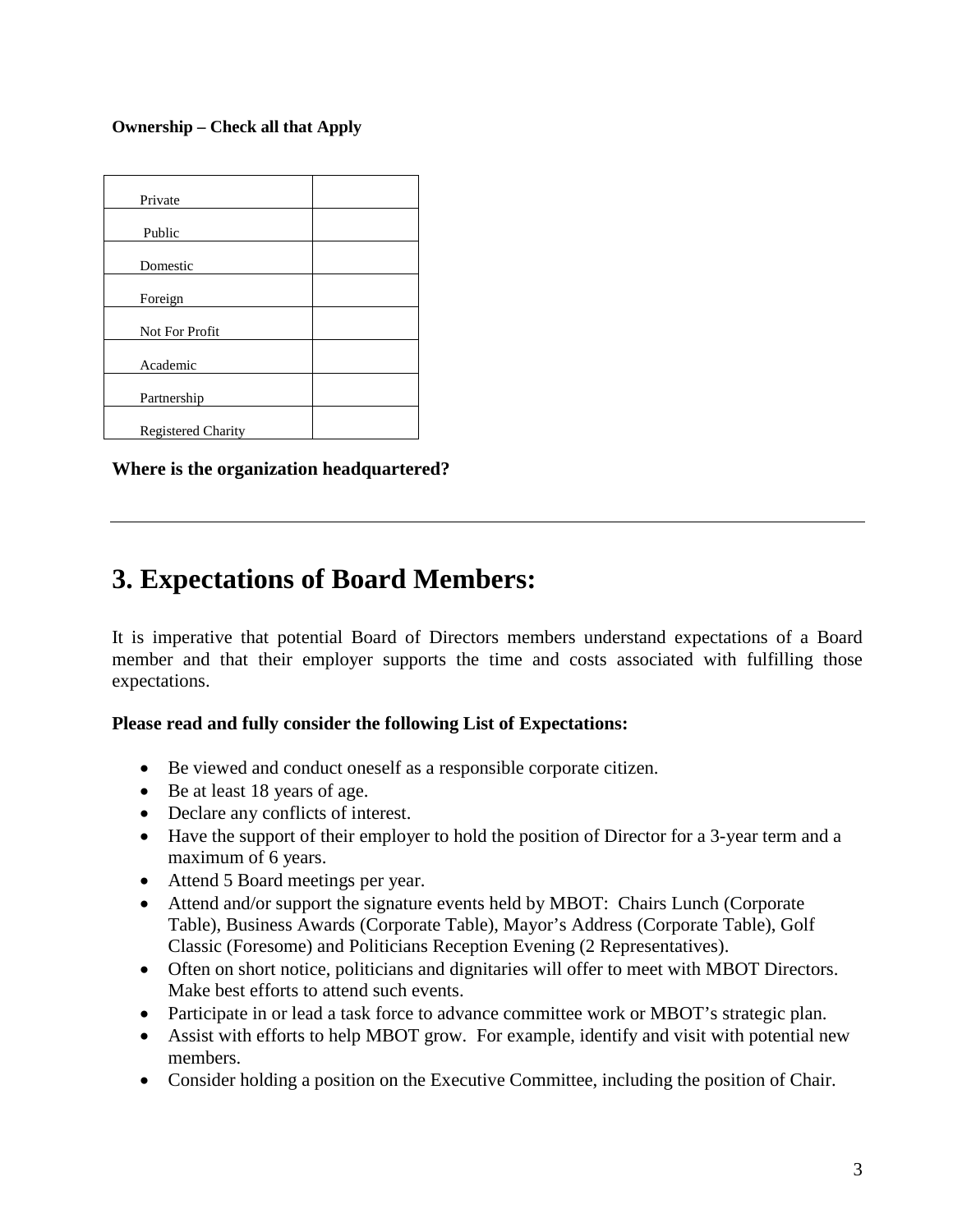**Ownership – Check all that Apply**

**Where is the organization headquartered?** 

### **3. Expectations of Board Members:**

It is imperative that potential Board of Directors members understand expectations of a Board member and that their employer supports the time and costs associated with fulfilling those expectations.

#### **Please read and fully consider the following List of Expectations:**

- Be viewed and conduct oneself as a responsible corporate citizen.
- Be at least 18 years of age.
- Declare any conflicts of interest.
- Have the support of their employer to hold the position of Director for a 3-year term and a maximum of 6 years.
- Attend 5 Board meetings per year.
- Attend and/or support the signature events held by MBOT: Chairs Lunch (Corporate Table), Business Awards (Corporate Table), Mayor's Address (Corporate Table), Golf Classic (Foresome) and Politicians Reception Evening (2 Representatives).
- Often on short notice, politicians and dignitaries will offer to meet with MBOT Directors. Make best efforts to attend such events.
- Participate in or lead a task force to advance committee work or MBOT's strategic plan.
- Assist with efforts to help MBOT grow. For example, identify and visit with potential new members.
- Consider holding a position on the Executive Committee, including the position of Chair.